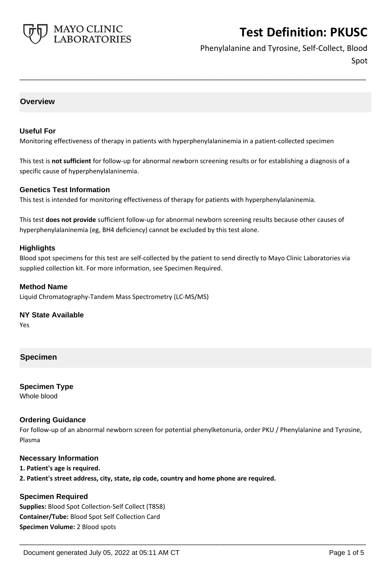

Phenylalanine and Tyrosine, Self-Collect, Blood Spot

# **Overview**

### **Useful For**

Monitoring effectiveness of therapy in patients with hyperphenylalaninemia in a patient-collected specimen

This test is **not sufficient** for follow-up for abnormal newborn screening results or for establishing a diagnosis of a specific cause of hyperphenylalaninemia.

**\_\_\_\_\_\_\_\_\_\_\_\_\_\_\_\_\_\_\_\_\_\_\_\_\_\_\_\_\_\_\_\_\_\_\_\_\_\_\_\_\_\_\_\_\_\_\_\_\_\_\_**

### **Genetics Test Information**

This test is intended for monitoring effectiveness of therapy for patients with hyperphenylalaninemia.

This test **does not provide** sufficient follow-up for abnormal newborn screening results because other causes of hyperphenylalaninemia (eg, BH4 deficiency) cannot be excluded by this test alone.

### **Highlights**

Blood spot specimens for this test are self-collected by the patient to send directly to Mayo Clinic Laboratories via supplied collection kit. For more information, see Specimen Required.

### **Method Name**

Liquid Chromatography-Tandem Mass Spectrometry (LC-MS/MS)

### **NY State Available**

Yes

# **Specimen**

**Specimen Type** Whole blood

## **Ordering Guidance**

For follow-up of an abnormal newborn screen for potential phenylketonuria, order PKU / Phenylalanine and Tyrosine, Plasma

**\_\_\_\_\_\_\_\_\_\_\_\_\_\_\_\_\_\_\_\_\_\_\_\_\_\_\_\_\_\_\_\_\_\_\_\_\_\_\_\_\_\_\_\_\_\_\_\_\_\_\_**

### **Necessary Information**

**1. Patient's age is required.**

**2. Patient's street address, city, state, zip code, country and home phone are required.**

## **Specimen Required**

**Supplies:** Blood Spot Collection-Self Collect (T858) **Container/Tube:** Blood Spot Self Collection Card **Specimen Volume:** 2 Blood spots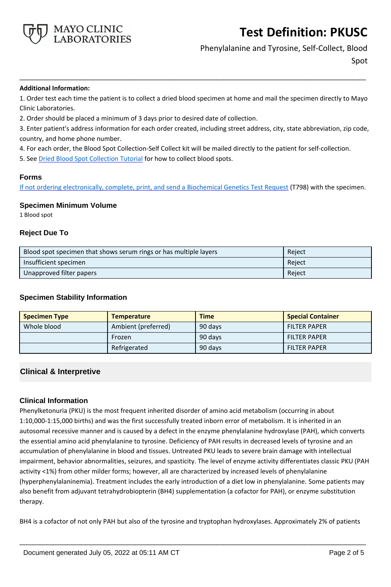

Phenylalanine and Tyrosine, Self-Collect, Blood Spot

#### **Additional Information:**

1. Order test each time the patient is to collect a dried blood specimen at home and mail the specimen directly to Mayo Clinic Laboratories.

**\_\_\_\_\_\_\_\_\_\_\_\_\_\_\_\_\_\_\_\_\_\_\_\_\_\_\_\_\_\_\_\_\_\_\_\_\_\_\_\_\_\_\_\_\_\_\_\_\_\_\_**

2. Order should be placed a minimum of 3 days prior to desired date of collection.

3. Enter patient's address information for each order created, including street address, city, state abbreviation, zip code, country, and home phone number.

4. For each order, the Blood Spot Collection-Self Collect kit will be mailed directly to the patient for self-collection.

5. See [Dried Blood Spot Collection Tutorial](https://vimeo.com/508490782) for how to collect blood spots.

### **Forms**

If not ordering electronically, complete, print, and send a [Biochemical Genetics Test Request](https://www.mayocliniclabs.com/it-mmfiles/iem-request-form.pdf) (T798) with the specimen.

### **Specimen Minimum Volume**

1 Blood spot

### **Reject Due To**

| Blood spot specimen that shows serum rings or has multiple layers | Reject |
|-------------------------------------------------------------------|--------|
| Insufficient specimen                                             | Reject |
| Unapproved filter papers                                          | Reject |

### **Specimen Stability Information**

| <b>Specimen Type</b> | <b>Temperature</b>  | <b>Time</b> | <b>Special Container</b> |
|----------------------|---------------------|-------------|--------------------------|
| Whole blood          | Ambient (preferred) | 90 days     | <b>FILTER PAPER</b>      |
|                      | Frozen              | 90 days     | <b>FILTER PAPER</b>      |
|                      | Refrigerated        | 90 days     | <b>FILTER PAPER</b>      |

## **Clinical & Interpretive**

## **Clinical Information**

Phenylketonuria (PKU) is the most frequent inherited disorder of amino acid metabolism (occurring in about 1:10,000-1:15,000 births) and was the first successfully treated inborn error of metabolism. It is inherited in an autosomal recessive manner and is caused by a defect in the enzyme phenylalanine hydroxylase (PAH), which converts the essential amino acid phenylalanine to tyrosine. Deficiency of PAH results in decreased levels of tyrosine and an accumulation of phenylalanine in blood and tissues. Untreated PKU leads to severe brain damage with intellectual impairment, behavior abnormalities, seizures, and spasticity. The level of enzyme activity differentiates classic PKU (PAH activity <1%) from other milder forms; however, all are characterized by increased levels of phenylalanine (hyperphenylalaninemia). Treatment includes the early introduction of a diet low in phenylalanine. Some patients may also benefit from adjuvant tetrahydrobiopterin (BH4) supplementation (a cofactor for PAH), or enzyme substitution therapy.

BH4 is a cofactor of not only PAH but also of the tyrosine and tryptophan hydroxylases. Approximately 2% of patients

**\_\_\_\_\_\_\_\_\_\_\_\_\_\_\_\_\_\_\_\_\_\_\_\_\_\_\_\_\_\_\_\_\_\_\_\_\_\_\_\_\_\_\_\_\_\_\_\_\_\_\_**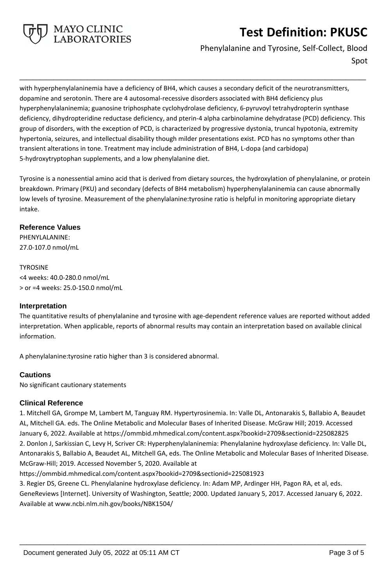

# Phenylalanine and Tyrosine, Self-Collect, Blood

Spot

with hyperphenylalaninemia have a deficiency of BH4, which causes a secondary deficit of the neurotransmitters, dopamine and serotonin. There are 4 autosomal-recessive disorders associated with BH4 deficiency plus hyperphenylalaninemia; guanosine triphosphate cyclohydrolase deficiency, 6-pyruvoyl tetrahydropterin synthase deficiency, dihydropteridine reductase deficiency, and pterin-4 alpha carbinolamine dehydratase (PCD) deficiency. This group of disorders, with the exception of PCD, is characterized by progressive dystonia, truncal hypotonia, extremity hypertonia, seizures, and intellectual disability though milder presentations exist. PCD has no symptoms other than transient alterations in tone. Treatment may include administration of BH4, L-dopa (and carbidopa) 5-hydroxytryptophan supplements, and a low phenylalanine diet.

**\_\_\_\_\_\_\_\_\_\_\_\_\_\_\_\_\_\_\_\_\_\_\_\_\_\_\_\_\_\_\_\_\_\_\_\_\_\_\_\_\_\_\_\_\_\_\_\_\_\_\_**

Tyrosine is a nonessential amino acid that is derived from dietary sources, the hydroxylation of phenylalanine, or protein breakdown. Primary (PKU) and secondary (defects of BH4 metabolism) hyperphenylalaninemia can cause abnormally low levels of tyrosine. Measurement of the phenylalanine:tyrosine ratio is helpful in monitoring appropriate dietary intake.

# **Reference Values**

PHENYLALANINE: 27.0-107.0 nmol/mL

TYROSINE <4 weeks: 40.0-280.0 nmol/mL > or =4 weeks: 25.0-150.0 nmol/mL

## **Interpretation**

The quantitative results of phenylalanine and tyrosine with age-dependent reference values are reported without added interpretation. When applicable, reports of abnormal results may contain an interpretation based on available clinical information.

A phenylalanine:tyrosine ratio higher than 3 is considered abnormal.

# **Cautions**

No significant cautionary statements

# **Clinical Reference**

1. Mitchell GA, Grompe M, Lambert M, Tanguay RM. Hypertyrosinemia. In: Valle DL, Antonarakis S, Ballabio A, Beaudet AL, Mitchell GA. eds. The Online Metabolic and Molecular Bases of Inherited Disease. McGraw Hill; 2019. Accessed January 6, 2022. Available at https://ommbid.mhmedical.com/content.aspx?bookid=2709&sectionid=225082825 2. Donlon J, Sarkissian C, Levy H, Scriver CR: Hyperphenylalaninemia: Phenylalanine hydroxylase deficiency. In: Valle DL, Antonarakis S, Ballabio A, Beaudet AL, Mitchell GA, eds. The Online Metabolic and Molecular Bases of Inherited Disease. McGraw-Hill; 2019. Accessed November 5, 2020. Available at

https://ommbid.mhmedical.com/content.aspx?bookid=2709&sectionid=225081923

3. Regier DS, Greene CL. Phenylalanine hydroxylase deficiency. In: Adam MP, Ardinger HH, Pagon RA, et al, eds. GeneReviews [Internet]. University of Washington, Seattle; 2000. Updated January 5, 2017. Accessed January 6, 2022. Available at www.ncbi.nlm.nih.gov/books/NBK1504/

**\_\_\_\_\_\_\_\_\_\_\_\_\_\_\_\_\_\_\_\_\_\_\_\_\_\_\_\_\_\_\_\_\_\_\_\_\_\_\_\_\_\_\_\_\_\_\_\_\_\_\_**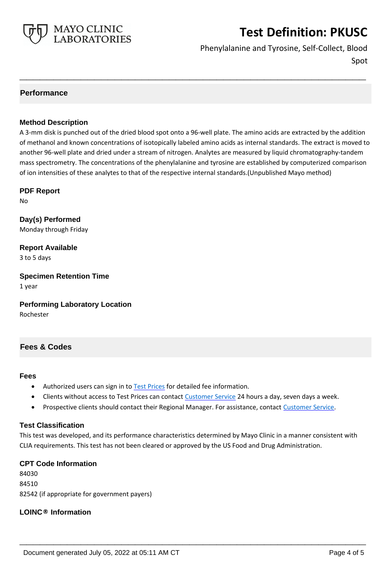

Phenylalanine and Tyrosine, Self-Collect, Blood Spot

# **Performance**

# **Method Description**

A 3-mm disk is punched out of the dried blood spot onto a 96-well plate. The amino acids are extracted by the addition of methanol and known concentrations of isotopically labeled amino acids as internal standards. The extract is moved to another 96-well plate and dried under a stream of nitrogen. Analytes are measured by liquid chromatography-tandem mass spectrometry. The concentrations of the phenylalanine and tyrosine are established by computerized comparison of ion intensities of these analytes to that of the respective internal standards.(Unpublished Mayo method)

**\_\_\_\_\_\_\_\_\_\_\_\_\_\_\_\_\_\_\_\_\_\_\_\_\_\_\_\_\_\_\_\_\_\_\_\_\_\_\_\_\_\_\_\_\_\_\_\_\_\_\_**

### **PDF Report**

No

**Day(s) Performed** Monday through Friday

**Report Available** 3 to 5 days

**Specimen Retention Time** 1 year

**Performing Laboratory Location** Rochester

# **Fees & Codes**

### **Fees**

- Authorized users can sign in to [Test Prices](https://www.mayocliniclabs.com/customer-service/client-price-lookup/index.html?unit_code=PKUSC) for detailed fee information.
- Clients without access to Test Prices can contact [Customer Service](http://www.mayocliniclabs.com/customer-service/contacts.html) 24 hours a day, seven days a week.
- **Prospective clients should contact their Regional Manager. For assistance, contact [Customer Service.](http://www.mayocliniclabs.com/customer-service/contacts.html)**

## **Test Classification**

This test was developed, and its performance characteristics determined by Mayo Clinic in a manner consistent with CLIA requirements. This test has not been cleared or approved by the US Food and Drug Administration.

**\_\_\_\_\_\_\_\_\_\_\_\_\_\_\_\_\_\_\_\_\_\_\_\_\_\_\_\_\_\_\_\_\_\_\_\_\_\_\_\_\_\_\_\_\_\_\_\_\_\_\_**

### **CPT Code Information**

84030 84510 82542 (if appropriate for government payers)

## **LOINC® Information**